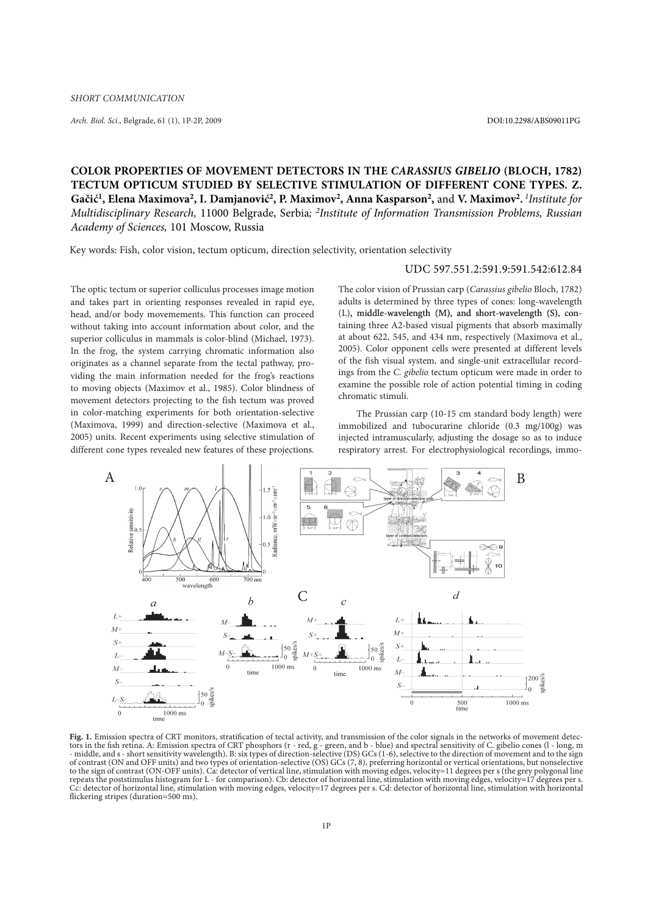*Arch. Biol. Sci.*, Belgrade, 61 (1), 1P-2P, 2009 DOI:10.2298/ABS09011PG

## **COLOR PROPERTIES OF MOVEMENT DETECTORS IN THE** *CARASSIUS GIBELIO* **(BLOCH, 1782) TECTUM OPTICUM STUDIED BY SELECTIVE STIMULATION OF DIFFERENT CONE TYPES. Z. Gačić1, Elena Maximova2, I. Damjanović2, P. Maximov2, Anna Kasparson2,** and **V. Maximov2.** *<sup>1</sup> Institute for Multidisciplinary Research,* 11000 Belgrade, Serbia*; 2 Institute of Information Transmission Problems, Russian Academy of Sciences,* 101 Moscow, Russia

Key words: Fish, color vision, tectum opticum, direction selectivity, orientation selectivity

## Udc 597.551.2:591.9:591.542:612.84

The optic tectum or superior colliculus processes image motion and takes part in orienting responses revealed in rapid eye, head, and/or body movemements. This function can proceed without taking into account information about color, and the superior colliculus in mammals is color-blind (Michael, 1973). In the frog, the system carrying chromatic information also originates as a channel separate from the tectal pathway, providing the main information needed for the frog's reactions to moving objects (Maximov et al., 1985). Color blindness of movement detectors projecting to the fish tectum was proved in color-matching experiments for both orientation-selective (Maximova, 1999) and direction-selective (Maximova et al., 2005) units. Recent experiments using selective stimulation of different cone types revealed new features of these projections.

The color vision of Prussian carp (*Carassius gibelio* Bloch, 1782) adults is determined by three types of cones: long-wavelength (L), middle-wavelength (M), and short-wavelength (�), containing three A2-based visual pigments that absorb maximally at about 622, 545, and 434 nm, respectively (Maximova et al., 2005). Color opponent cells were presented at different levels of the fish visual system, and single-unit extracellular recordings from the *C. gibelio* tectum opticum were made in order to examine the possible role of action potential timing in coding chromatic stimuli.

The Prussian carp (10-15 cm standard body length) were immobilized and tubocurarine chloride (0.3 mg/100g) was injected intramuscularly, adjusting the dosage so as to induce respiratory arrest. For electrophysiological recordings, immo-



**Fig. 1***.* Emission spectra of CRT monitors, stratification of tectal activity, and transmission of the color signals in the networks of movement detectors in the fish retina. A: Emission spectra of CRT phosphors (r - red, g - green, and b - blue) and spectral sensitivity of C. gibelio cones (l - long, m - middle, and s - short sensitivity wavelength). B: six types of direction-selective (DS) GCs (1-6), selective to the direction of movement and to the sign of contrast (ON and OFF units) and two types of orientation-selective (OS) GCs (7, 8), preferring horizontal or vertical orientations, but nonselective to the sign of contrast (ON-OFF units). Ca: detector of vertical line, stimulation with moving edges, velocity=11 degrees per s (the grey polygonal line repeats the poststimulus histogram for L - for comparison). Cb: detector of horizontal line, stimulation with moving edges, velocity=17 degrees per s.<br>Cc: detector of horizontal line, stimulation with moving edges, velocit flickering stripes (duration=500 ms).